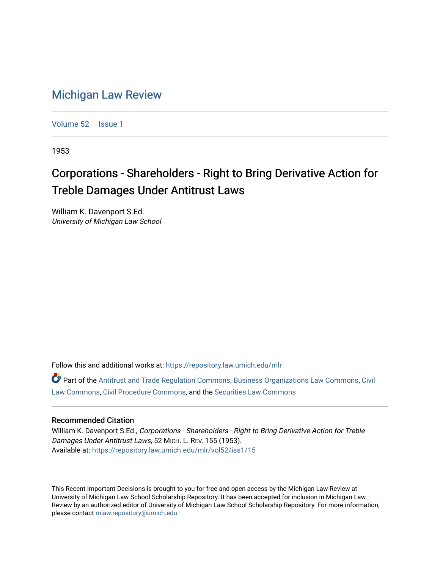## [Michigan Law Review](https://repository.law.umich.edu/mlr)

[Volume 52](https://repository.law.umich.edu/mlr/vol52) | [Issue 1](https://repository.law.umich.edu/mlr/vol52/iss1)

1953

## Corporations - Shareholders - Right to Bring Derivative Action for Treble Damages Under Antitrust Laws

William K. Davenport S.Ed. University of Michigan Law School

Follow this and additional works at: [https://repository.law.umich.edu/mlr](https://repository.law.umich.edu/mlr?utm_source=repository.law.umich.edu%2Fmlr%2Fvol52%2Fiss1%2F15&utm_medium=PDF&utm_campaign=PDFCoverPages) 

Part of the [Antitrust and Trade Regulation Commons,](http://network.bepress.com/hgg/discipline/911?utm_source=repository.law.umich.edu%2Fmlr%2Fvol52%2Fiss1%2F15&utm_medium=PDF&utm_campaign=PDFCoverPages) [Business Organizations Law Commons](http://network.bepress.com/hgg/discipline/900?utm_source=repository.law.umich.edu%2Fmlr%2Fvol52%2Fiss1%2F15&utm_medium=PDF&utm_campaign=PDFCoverPages), [Civil](http://network.bepress.com/hgg/discipline/835?utm_source=repository.law.umich.edu%2Fmlr%2Fvol52%2Fiss1%2F15&utm_medium=PDF&utm_campaign=PDFCoverPages) [Law Commons,](http://network.bepress.com/hgg/discipline/835?utm_source=repository.law.umich.edu%2Fmlr%2Fvol52%2Fiss1%2F15&utm_medium=PDF&utm_campaign=PDFCoverPages) [Civil Procedure Commons,](http://network.bepress.com/hgg/discipline/584?utm_source=repository.law.umich.edu%2Fmlr%2Fvol52%2Fiss1%2F15&utm_medium=PDF&utm_campaign=PDFCoverPages) and the [Securities Law Commons](http://network.bepress.com/hgg/discipline/619?utm_source=repository.law.umich.edu%2Fmlr%2Fvol52%2Fiss1%2F15&utm_medium=PDF&utm_campaign=PDFCoverPages) 

## Recommended Citation

William K. Davenport S.Ed., Corporations - Shareholders - Right to Bring Derivative Action for Treble Damages Under Antitrust Laws, 52 MICH. L. REV. 155 (1953). Available at: [https://repository.law.umich.edu/mlr/vol52/iss1/15](https://repository.law.umich.edu/mlr/vol52/iss1/15?utm_source=repository.law.umich.edu%2Fmlr%2Fvol52%2Fiss1%2F15&utm_medium=PDF&utm_campaign=PDFCoverPages) 

This Recent Important Decisions is brought to you for free and open access by the Michigan Law Review at University of Michigan Law School Scholarship Repository. It has been accepted for inclusion in Michigan Law Review by an authorized editor of University of Michigan Law School Scholarship Repository. For more information, please contact [mlaw.repository@umich.edu.](mailto:mlaw.repository@umich.edu)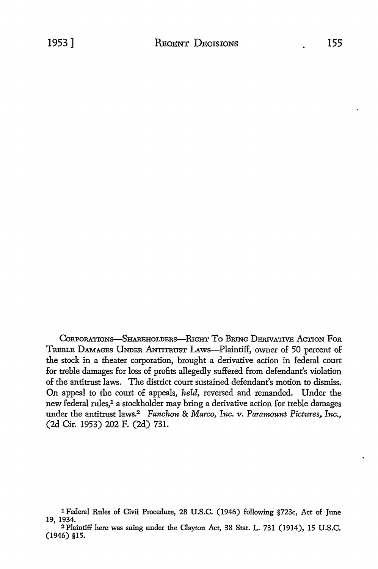CORPORATIONS-SHAREHOLDERS-RIGHT TO BRING DERIVATIVE ACTION FOR TREBLE DAMAGES UNDER ANTITRUST LAWS-Plaintiff, owner of 50 percent of the stock in a theater corporation, brought a derivative action in federal court for treble damages for loss of profits allegedly suffered from defendant's violation of the antitrust laws. The district court sustained defendant's motion to dismiss. On appeal to the court of appeals, *held,* reversed and remanded. Under the new federal rules,<sup>1</sup> a stockholder may bring a derivative action for treble damages under the antitrust laws.<sup>2</sup> *Fanchon & Marco, Inc. v. Paramount Pictures, Inc.,* (2d Cir. 1953) 202 F. (2d) 731.

<sup>1</sup> Federal Rules of Civil Procedure, 28 U.S.C. (1946) following §723c, Act of June 19, 1934.

<sup>2</sup> Plaintiff here was suing under the Clayton Act, 38 Stat. L. 731 (1914), 15 U.S.C. (1946) §15.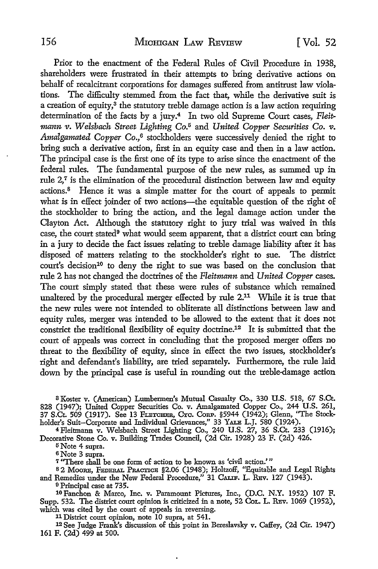Prior to the enactment of the Federal Rules of Civil Procedure in 1938, shareholders were frustrated in their attempts to bring derivative actions on behalf of recalcitrant corporations for damages suffered from antitrust law violations. The difficulty stemmed from the fact that, while the derivative suit is a creation of equity, $3$  the statutory treble damage action is a law action requiring determination of the facts by a jury.4 In two old Supreme Court cases, *Fleitmann v. Welsbach Street Lighting Co.*5 and *United Copper Securities Co. v.*  Amalgamated Copper Co.,<sup>6</sup> stockholders were successively denied the right to bring such a derivative action, first in an equity case and then in a law action. The principal case is the first one of its type to arise since the enactment of the federal rules. The fundamental purpose of the new rules, as summed up in rule  $2<sup>7</sup>$  is the elimination of the procedural distinction between law and equity actions.<sup>8</sup> Hence it was a simple matter for the court of appeals to permit what is in effect joinder of two actions-the equitable question of the right of the stockholder to bring the action, and the legal damage action under the Clayton Act. Although the statutory right to jury trial was waived in this case, the court stated9 what would seem apparent, that a district court can bring in a jury to decide the fact issues relating to treble damage liability after it has disposed of matters relating to the stockholder's right to sue. The district court's decision<sup>10</sup> to deny the right to sue was based on the conclusion that rule 2 has not changed the doctrines of the *Fleitmann* and *United Copper* cases. The court simply stated that these were rules of substance which remained unaltered by the procedural merger effected by rule 2.<sup>11</sup> While it is true that the new rules were not intended to obliterate all distinctions between law and equity rules, merger was intended to be allowed to the extent that it does not constrict the traditional flexibility of equity doctrine.12 It is submitted that the court of appeals was correct in concluding that the proposed merger offers no threat to the flexibility of equity, since in effect the two issues, stockholder's right and defendant's liability, are tried separately. Furthermore, the rule laid down by the principal case is useful in rounding out the treble-damage action

8 Koster v. (American) Lumbermen's Mutual Casualty Co., 330 U.S. 518, 67 S.Ct. 828 (1947); United Copper Securities Co. v. Amalgamated Copper Co., 244 U.S. 261, 37 S.Ct. 509 (1917). See 13 FLETCHER, CYc. CoRP. §5944 (1942); Glenn, "The Stockholder's Suit-Corporate and Individual Grievances," 33 YALE L.J. 580 (1924).

4Fleitmann v. Welsbach Street Lighting Co., 240 U.S. 27, 36 S.Ct. 233 (1916); Decorative Stone Co. v. Building Trades Council, (2d Cir. 1928) 23 F. (2d) 426.

5 Note 4 supra.

<sup>6</sup>Note 3 supra.

7 "There shall be one form of action to be known as 'civil action.' "

s 2 MooRE, FEDERAL PRACTICE §2.06 (1948); Holtzoff, ''Equitable and Legal Rights and Remedies under the New Federal Procedure," 31 CALIF. L. REV. 127 (1943).

<sup>9</sup>Principal case at 735.

10 Fanchon & Marco, Inc. v. Paramount Pictures, Inc., (D.C. N.Y. 1952) 107 F. Supp. 532. The district court opinion is criticized in a note, 52 CoL. L. RBv. 1069 (1952), which was cited by the court of appeals in reversing.

11 District court opinion, note 10 supra, at 541.

<sup>12</sup>See Judge Frank's discussion of this point in Bereslavsky v. Caffey, (2d Cir. 1947) 161 F. (2d) 499 at 500.